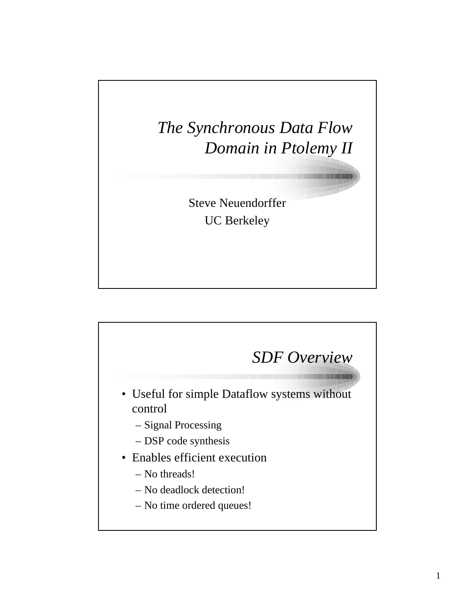*The Synchronous Data Flow Domain in Ptolemy II*

> Steve Neuendorffer UC Berkeley

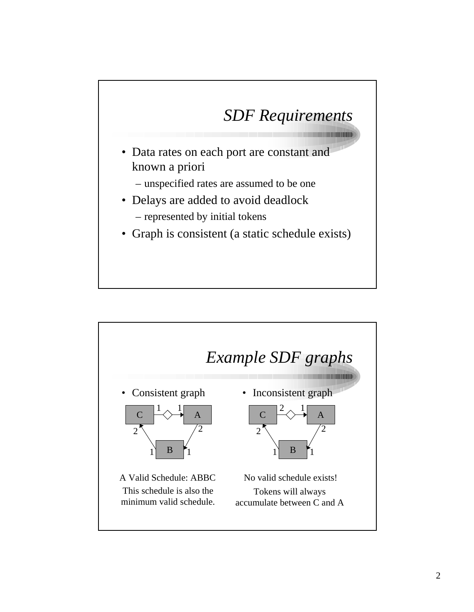## *SDF Requirements*

- Data rates on each port are constant and known a priori
	- unspecified rates are assumed to be one
- Delays are added to avoid deadlock – represented by initial tokens
- Graph is consistent (a static schedule exists)

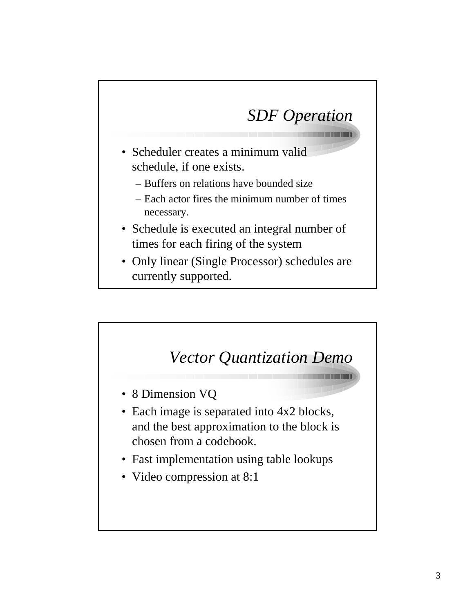## *SDF Operation*

- Scheduler creates a minimum valid schedule, if one exists.
	- Buffers on relations have bounded size
	- Each actor fires the minimum number of times necessary.
- Schedule is executed an integral number of times for each firing of the system
- Only linear (Single Processor) schedules are currently supported.

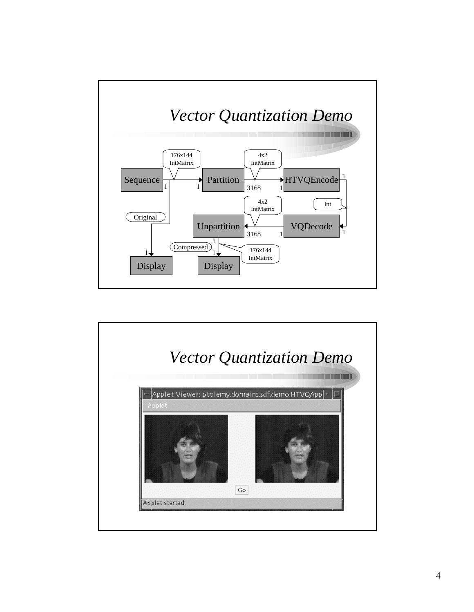

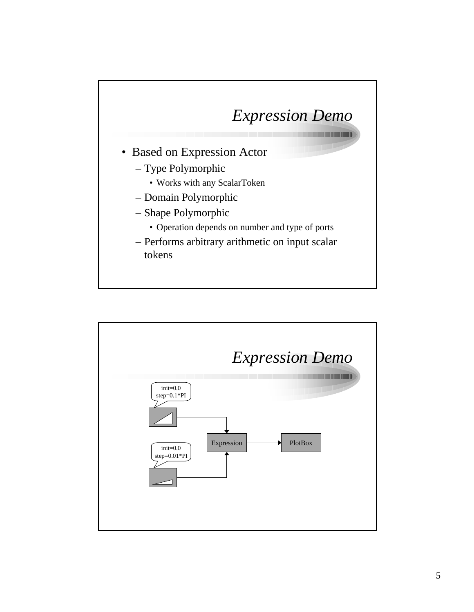## *Expression Demo*

- Based on Expression Actor
	- Type Polymorphic
		- Works with any ScalarToken
	- Domain Polymorphic
	- Shape Polymorphic
		- Operation depends on number and type of ports
	- Performs arbitrary arithmetic on input scalar tokens

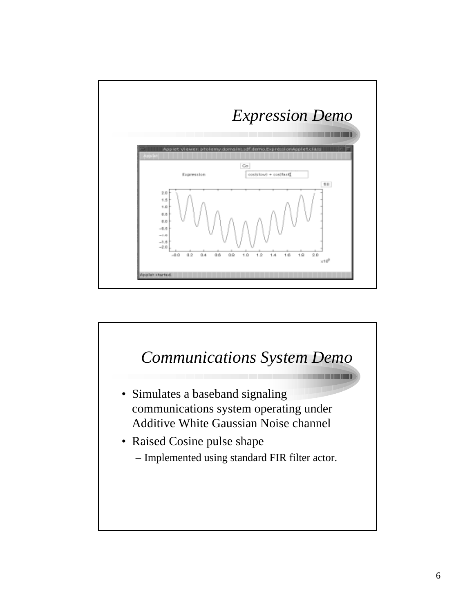

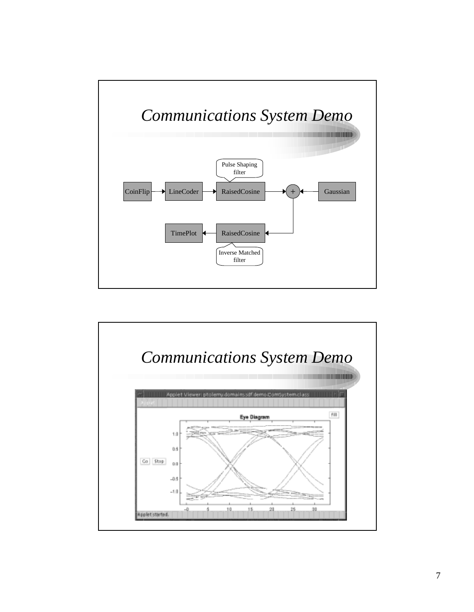